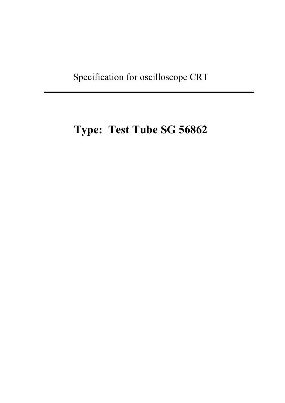Specification for oscilloscope CRT

# **Type: Test Tube SG 56862**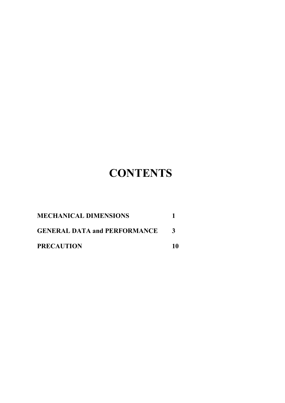# **CONTENTS**

| <b>MECHANICAL DIMENSIONS</b>        |              |
|-------------------------------------|--------------|
| <b>GENERAL DATA and PERFORMANCE</b> | $\mathbf{R}$ |
| <b>PRECAUTION</b>                   | -10          |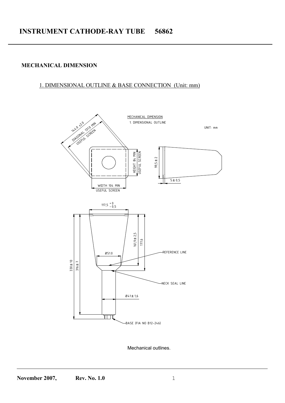### **MECHANICAL DIMENSION**

#### 1. DIMENSIONAL OUTLINE & BASE CONNECTION (Unit: mm)



Mechanical outlines.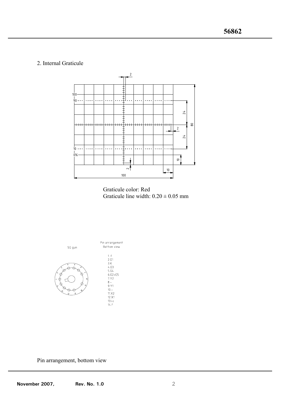#### 2. Internal Graticule



-





Pin arrangement, bottom view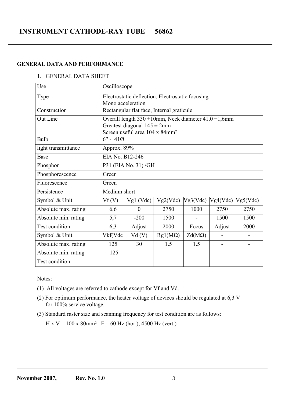# **INSTRUMENT CATHODE-RAY TUBE 56862**

#### **GENERAL DATA AND PERFORMANCE**

#### 1. GENERAL DATA SHEET

| Use                  | Oscilloscope                                                                                                |                                            |                                                                 |          |          |          |  |  |
|----------------------|-------------------------------------------------------------------------------------------------------------|--------------------------------------------|-----------------------------------------------------------------|----------|----------|----------|--|--|
| Type                 | Electrostatic deflection, Electrostatic focusing                                                            |                                            |                                                                 |          |          |          |  |  |
|                      | Mono acceleration                                                                                           |                                            |                                                                 |          |          |          |  |  |
| Construction         |                                                                                                             |                                            | Rectangular flat face, Internal graticule                       |          |          |          |  |  |
| Out Line             |                                                                                                             |                                            | Overall length $330 \pm 10$ mm, Neck diameter $41.0 \pm 1,6$ mm |          |          |          |  |  |
|                      |                                                                                                             | Greatest diagonal $145 \pm 2$ mm           |                                                                 |          |          |          |  |  |
|                      |                                                                                                             | Screen useful area 104 x 84mm <sup>2</sup> |                                                                 |          |          |          |  |  |
| Bulb                 | $6" - 410$                                                                                                  |                                            |                                                                 |          |          |          |  |  |
| light transmittance  | Approx. 89%                                                                                                 |                                            |                                                                 |          |          |          |  |  |
| Base                 | EIA No. B12-246                                                                                             |                                            |                                                                 |          |          |          |  |  |
| Phosphor             | P31 (EIA No. 31)/GH                                                                                         |                                            |                                                                 |          |          |          |  |  |
| Phosphorescence      | Green                                                                                                       |                                            |                                                                 |          |          |          |  |  |
| Fluorescence         | Green                                                                                                       |                                            |                                                                 |          |          |          |  |  |
| Persistence          | Medium short                                                                                                |                                            |                                                                 |          |          |          |  |  |
| Symbol & Unit        | Vf(V)                                                                                                       | $Vgl$ (Vdc)                                | Vg2(Vdc)                                                        | Vg3(Vdc) | Vg4(Vdc) | Vg5(Vdc) |  |  |
| Absolute max. rating | 2750<br>2750<br>1000<br>2750<br>6,6<br>$\overline{0}$                                                       |                                            |                                                                 |          |          |          |  |  |
| Absolute min. rating | 5,7<br>$-200$<br>1500<br>1500<br>1500                                                                       |                                            |                                                                 |          |          |          |  |  |
| Test condition       | 6,3<br>Adjust<br>2000<br>Adjust<br>Focus<br>2000                                                            |                                            |                                                                 |          |          |          |  |  |
| Symbol & Unit        | Vkf(Vdc<br>Vd(V)<br>$Rgl(M\Omega)$<br>$Zd(M\Omega)$<br>$\overline{\phantom{a}}$<br>$\overline{\phantom{0}}$ |                                            |                                                                 |          |          |          |  |  |
| Absolute max. rating | 125<br>1.5<br>1.5<br>30<br>$\blacksquare$                                                                   |                                            |                                                                 |          |          |          |  |  |
| Absolute min. rating | $-125$                                                                                                      |                                            |                                                                 |          |          |          |  |  |
| Test condition       |                                                                                                             |                                            |                                                                 |          |          |          |  |  |

Notes:

- (1) All voltages are referred to cathode except for Vf and Vd.
- (2) For optimum performance, the heater voltage of devices should be regulated at 6,3 V for 100% service voltage.
- (3) Standard raster size and scanning frequency for test condition are as follows:

H x V = 100 x 80mm<sup>2</sup>  $F = 60$  Hz (hor.), 4500 Hz (vert.)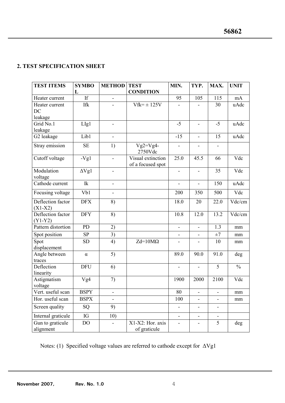## **2. TEST SPECIFICATION SHEET**

| <b>TEST ITEMS</b>              | <b>SYMBO</b>        | <b>METHOD</b>                | <b>TEST</b>                            | MIN.                     | TYP.                     | MAX.                     | <b>UNIT</b>   |
|--------------------------------|---------------------|------------------------------|----------------------------------------|--------------------------|--------------------------|--------------------------|---------------|
|                                | L                   |                              | <b>CONDITION</b>                       |                          |                          |                          |               |
| Heater current                 | If                  |                              |                                        | 95                       | 105                      | 115                      | $\rm mA$      |
| Heater current                 | <b>Ifk</b>          |                              | $V$ fk= $\pm$ 125V                     |                          |                          | 30                       | uAdc          |
| DC                             |                     |                              |                                        |                          |                          |                          |               |
| leakage                        |                     |                              |                                        |                          |                          |                          |               |
| Grid No.1                      | LIg1                |                              |                                        | $-5$                     | ä,                       | $-5$                     | uAdc          |
| leakage                        |                     |                              |                                        |                          |                          |                          |               |
| G2 leakage                     | Lib1                | $\qquad \qquad \blacksquare$ |                                        | $-15$                    | $\blacksquare$           | 15                       | uAdc          |
| Stray emission                 | <b>SE</b>           | 1)                           | $\overline{Vg}$ 2= $Vg4$ -<br>2750Vdc  | $\blacksquare$           | $\overline{\phantom{a}}$ | $\overline{\phantom{a}}$ |               |
| Cutoff voltage                 | $-Vg1$              |                              | Visual extinction<br>of a focused spot | 25.0                     | 45.5                     | 66                       | Vdc           |
| Modulation<br>voltage          | $\Delta Vg1$        | $\overline{\phantom{a}}$     |                                        | $\overline{\phantom{a}}$ | $\blacksquare$           | 35                       | Vdc           |
| Cathode current                | $\operatorname{Ik}$ | $\blacksquare$               |                                        | $\overline{a}$           | ÷.                       | 150                      | uAdc          |
| Focusing voltage               | Vb1                 |                              |                                        | 200                      | 350                      | 500                      | Vdc           |
| Deflection factor<br>$(X1-X2)$ | <b>DFX</b>          | 8)                           |                                        | 18.0                     | 20                       | 22.0                     | Vdc/cm        |
| Deflection factor<br>$(Y1-Y2)$ | <b>DFY</b>          | 8)                           |                                        | 10.8                     | 12.0                     | 13.2                     | Vdc/cm        |
| Pattern distortion             | PD                  | 2)                           |                                        | ä,                       | $\overline{a}$           | 1.3                      | mm            |
| Spot position                  | SP                  | $\overline{3)}$              |                                        | $\blacksquare$           | $\blacksquare$           | $\pm 7$                  | mm            |
| Spot<br>displacement           | <b>SD</b>           | 4)                           | $Zd=10M\Omega$                         |                          |                          | 10                       | mm            |
| Angle between<br>traces        | $\alpha$            | 5)                           |                                        | 89.0                     | 90.0                     | 91.0                     | deg           |
| Deflection<br>linearity        | <b>DFU</b>          | 6)                           |                                        |                          | ä,                       | 5                        | $\frac{0}{0}$ |
| Astigmatism<br>voltage         | Vg4                 | 7)                           |                                        | 1900                     | 2000                     | 2100                     | Vdc           |
| Vert. useful scan              | <b>BSPY</b>         | $\overline{\phantom{a}}$     |                                        | 80                       | $\overline{\phantom{a}}$ | $\blacksquare$           | mm            |
| Hor. useful scan               | <b>BSPX</b>         |                              |                                        | 100                      |                          |                          | mm            |
| Screen quality                 | SQ                  | 9)                           |                                        |                          | $\blacksquare$           |                          |               |
| Internal graticule             | IG                  | 10)                          |                                        | $\overline{a}$           | $\overline{\phantom{0}}$ |                          |               |
| Gun to graticule<br>alignment  | DO                  |                              | X1-X2: Hor. axis<br>of graticule       |                          | -                        | 5                        | deg           |

-

Notes: (1) Specified voltage values are referred to cathode except for ∆Vg1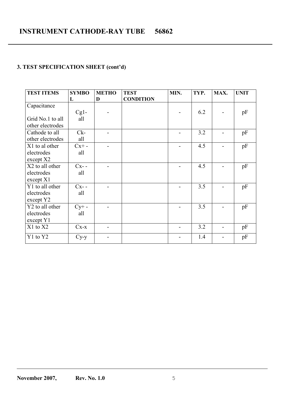## **3. TEST SPECIFICATION SHEET (cont'd)**

| <b>TEST ITEMS</b> | <b>SYMBO</b> | <b>METHO</b> | <b>TEST</b>      | MIN. | TYP. | MAX. | <b>UNIT</b> |
|-------------------|--------------|--------------|------------------|------|------|------|-------------|
|                   | L            | D            | <b>CONDITION</b> |      |      |      |             |
| Capacitance       |              |              |                  |      |      |      |             |
|                   | $Cg1$ -      |              |                  |      | 6.2  |      | pF          |
| Grid No.1 to all  | all          |              |                  |      |      |      |             |
| other electrodes  |              |              |                  |      |      |      |             |
| Cathode to all    | $Ck-$        |              |                  |      | 3.2  |      | pF          |
| other electrodes  | all          |              |                  |      |      |      |             |
| X1 to al other    | $Cx + -$     |              |                  |      | 4.5  |      | pF          |
| electrodes        | all          |              |                  |      |      |      |             |
| except X2         |              |              |                  |      |      |      |             |
| X2 to all other   | $Cx$ --      |              |                  |      | 4.5  |      | pF          |
| electrodes        | all          |              |                  |      |      |      |             |
| except X1         |              |              |                  |      |      |      |             |
| Y1 to all other   | $Cx - -$     |              |                  |      | 3.5  |      | pF          |
| electrodes        | all          |              |                  |      |      |      |             |
| except Y2         |              |              |                  |      |      |      |             |
| Y2 to all other   | $Cy+ -$      |              |                  |      | 3.5  |      | pF          |
| electrodes        | all          |              |                  |      |      |      |             |
| except Y1         |              |              |                  |      |      |      |             |
| X1 to X2          | $Cx - x$     |              |                  |      | 3.2  |      | pF          |
| Y1 to Y2          | $Cy-y$       |              |                  |      | 1.4  |      | pF          |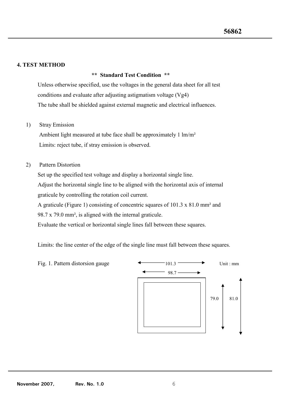#### **4. TEST METHOD**

#### **\*\* Standard Test Condition \*\***

-

Unless otherwise specified, use the voltages in the general data sheet for all test conditions and evaluate after adjusting astigmatism voltage (Vg4) The tube shall be shielded against external magnetic and electrical influences.

#### 1) Stray Emission

 Ambient light measured at tube face shall be approximately 1 lm/m² Limits: reject tube, if stray emission is observed.

#### 2) Pattern Distortion

Set up the specified test voltage and display a horizontal single line.

Adjust the horizontal single line to be aligned with the horizontal axis of internal graticule by controlling the rotation coil current.

A graticule (Figure 1) consisting of concentric squares of 101.3 x 81.0 mm² and

98.7 x 79.0 mm², is aligned with the internal graticule.

Evaluate the vertical or horizontal single lines fall between these squares.

Limits: the line center of the edge of the single line must fall between these squares.

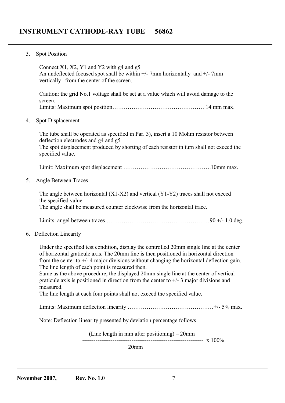3. Spot Position

Connect X1, X2, Y1 and Y2 with g4 and g5 An undeflected focused spot shall be within  $+/-$  7mm horizontally and  $+/-$  7mm vertically from the center of the screen. Caution: the grid No.1 voltage shall be set at a value which will avoid damage to the screen. Limits: Maximum spot position………………………………………… 14 mm max. 4. Spot Displacement The tube shall be operated as specified in Par. 3), insert a 10 Mohm resistor between deflection electrodes and g4 and g5 The spot displacement produced by shorting of each resistor in turn shall not exceed the specified value. Limit: Maximum spot displacement ……………………………………………………10mm max. 5. Angle Between Traces The angle between horizontal (X1-X2) and vertical (Y1-Y2) traces shall not exceed the specified value. The angle shall be measured counter clockwise from the horizontal trace. Limits: angel between traces ……………………………………………………………90 +/- 1.0 deg. 6. Deflection Linearity Under the specified test condition, display the controlled 20mm single line at the center of horizontal graticule axis. The 20mm line is then positioned in horizontal direction from the center to  $+/-$  4 major divisions without changing the horizontal deflection gain. The line length of each point is measured then. Same as the above procedure, the displayed 20mm single line at the center of vertical graticule axis is positioned in direction from the center to  $+/- 3$  major divisions and measured. The line length at each four points shall not exceed the specified value. Limits: Maximum deflection linearity ………………………………………………+/- 5% max.

Note: Deflection linearity presented by deviation percentage follows

(Line length in mm after positioning) – 20mm ---------------------------------------------------------------- x 100%

20mm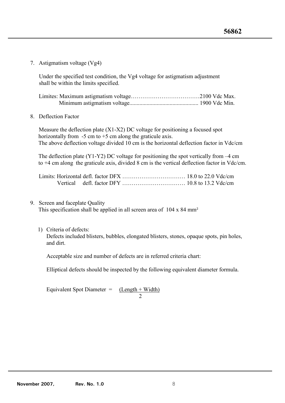7. Astigmatism voltage (Vg4)

 Under the specified test condition, the Vg4 voltage for astigmatism adjustment shall be within the limits specified.

-

8. Deflection Factor

 Measure the deflection plate (X1-X2) DC voltage for positioning a focused spot horizontally from  $-5$  cm to  $+5$  cm along the graticule axis. The above deflection voltage divided 10 cm is the horizontal deflection factor in Vdc/cm

 The deflection plate (Y1-Y2) DC voltage for positioning the spot vertically from –4 cm to +4 cm along the graticule axis, divided 8 cm is the vertical deflection factor in Vdc/cm.

9. Screen and faceplate Quality

This specification shall be applied in all screen area of 104 x 84 mm²

1) Criteria of defects: Defects included blisters, bubbles, elongated blisters, stones, opaque spots, pin holes, and dirt.

Acceptable size and number of defects are in referred criteria chart:

Elliptical defects should be inspected by the following equivalent diameter formula.

Equivalent Spot Diameter  $=$  $\frac{(\text{Length} + \text{Width})}{2}$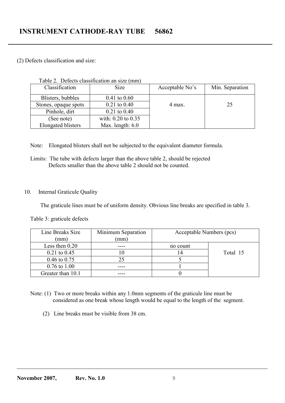#### (2) Defects classification and size:

| Classification            | <b>Size</b>             | Acceptable No's | Min. Separation |
|---------------------------|-------------------------|-----------------|-----------------|
| Blisters, bubbles         | $0.41 \text{ to } 0.60$ |                 |                 |
| Stones, opaque spots      | $0.21$ to $0.40$        | 4 max.          | 25              |
| Pinhole, dirt             | $0.21$ to $0.40$        |                 |                 |
| (See note)                | with: 0.20 to 0.35      |                 |                 |
| <b>Elongated blisters</b> | Max. length: $6.0$      |                 |                 |

Table 2. Defects classification an size (mm)

Note: Elongated blisters shall not be subjected to the equivalent diameter formula.

 Limits: The tube with defects larger than the above table 2, should be rejected Defects smaller than the above table 2 should not be counted.

### 10. Internal Graticule Quality

The graticule lines must be of uniform density. Obvious line breaks are specified in table 3.

| Line Breaks Size        | Minimum Separation | Acceptable Numbers (pcs) |          |
|-------------------------|--------------------|--------------------------|----------|
| (mm)                    | (mm)               |                          |          |
| Less then $0.20$        |                    | no count                 |          |
| $0.21$ to $0.45$        |                    |                          | Total 15 |
| $0.46 \text{ to } 0.75$ | 25                 |                          |          |
| $0.76 \text{ to } 1.00$ |                    |                          |          |
| Greater than 10.1       |                    |                          |          |

Table 3: graticule defects

 Note: (1) Two or more breaks within any 1.0mm segments of the graticule line must be considered as one break whose length would be equal to the length of the segment.

(2) Line breaks must be visible from 38 cm.